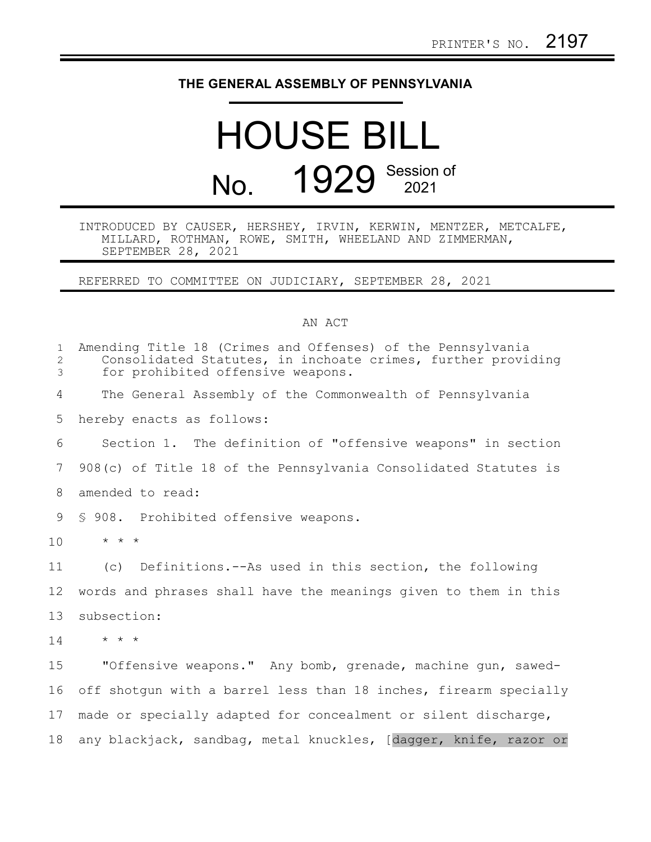## **THE GENERAL ASSEMBLY OF PENNSYLVANIA**

## HOUSE BILL No. 1929 Session of

## INTRODUCED BY CAUSER, HERSHEY, IRVIN, KERWIN, MENTZER, METCALFE, MILLARD, ROTHMAN, ROWE, SMITH, WHEELAND AND ZIMMERMAN, SEPTEMBER 28, 2021

REFERRED TO COMMITTEE ON JUDICIARY, SEPTEMBER 28, 2021

## AN ACT

| $\mathbf{1}$<br>2<br>3 | Amending Title 18 (Crimes and Offenses) of the Pennsylvania<br>Consolidated Statutes, in inchoate crimes, further providing<br>for prohibited offensive weapons. |
|------------------------|------------------------------------------------------------------------------------------------------------------------------------------------------------------|
| 4                      | The General Assembly of the Commonwealth of Pennsylvania                                                                                                         |
| 5                      | hereby enacts as follows:                                                                                                                                        |
| 6                      | Section 1. The definition of "offensive weapons" in section                                                                                                      |
| 7                      | 908(c) of Title 18 of the Pennsylvania Consolidated Statutes is                                                                                                  |
| 8                      | amended to read:                                                                                                                                                 |
| 9                      | § 908. Prohibited offensive weapons.                                                                                                                             |
| 10                     | $\star$ $\star$ $\star$                                                                                                                                          |
| 11                     | (c) Definitions.--As used in this section, the following                                                                                                         |
| 12                     | words and phrases shall have the meanings given to them in this                                                                                                  |
| 13                     | subsection:                                                                                                                                                      |
| 14                     | $\star$ $\star$ $\star$                                                                                                                                          |
| 15                     | "Offensive weapons." Any bomb, grenade, machine qun, sawed-                                                                                                      |
| 16                     | off shotgun with a barrel less than 18 inches, firearm specially                                                                                                 |
| 17                     | made or specially adapted for concealment or silent discharge,                                                                                                   |
| 18                     | any blackjack, sandbag, metal knuckles, [dagger, knife, razor or                                                                                                 |